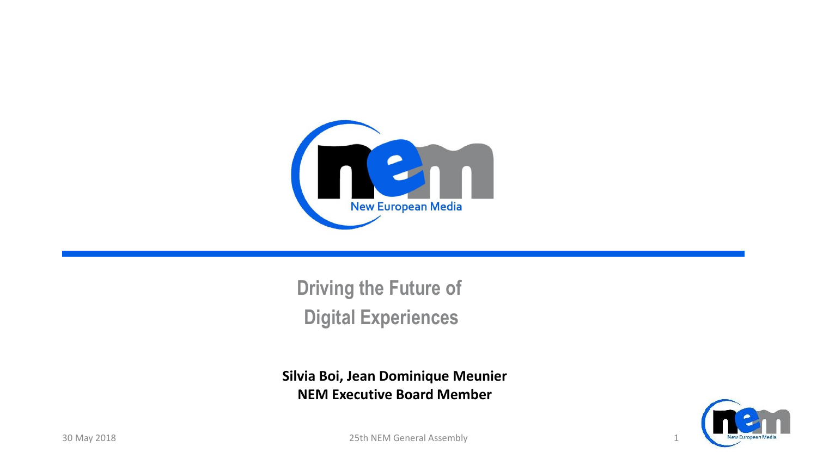

**Driving the Future of Digital Experiences**

**Silvia Boi, Jean Dominique Meunier NEM Executive Board Member**



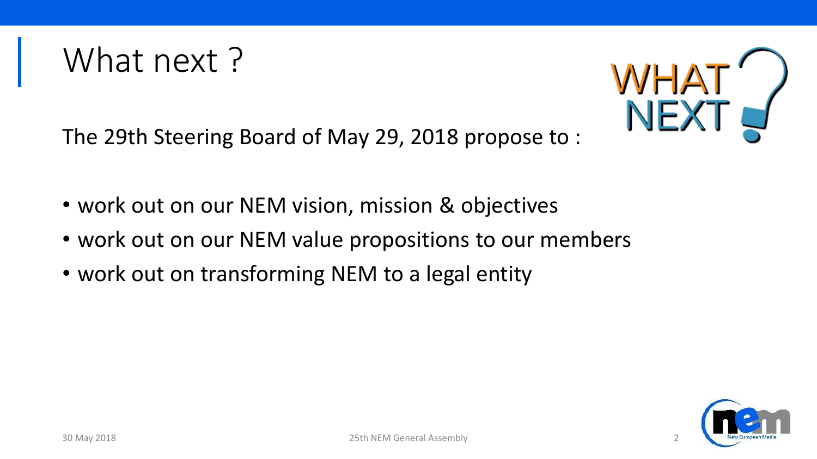

The 29th Steering Board of May 29, 2018 propose to :

- work out on our NEM vision, mission & objectives
- work out on our NEM value propositions to our members
- work out on transforming NEM to a legal entity

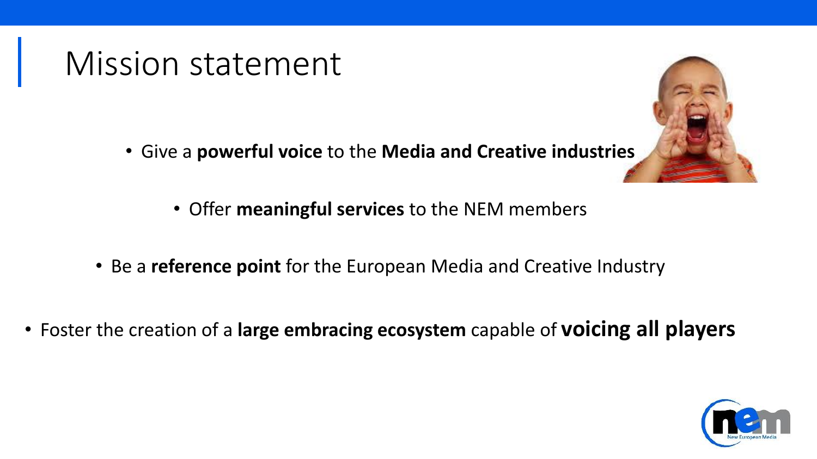#### Mission statement

- Give a **powerful voice** to the **Media and Creative industries**
	- Offer **meaningful services** to the NEM members
- Be a **reference point** for the European Media and Creative Industry
- Foster the creation of a **large embracing ecosystem** capable of **voicing all players**



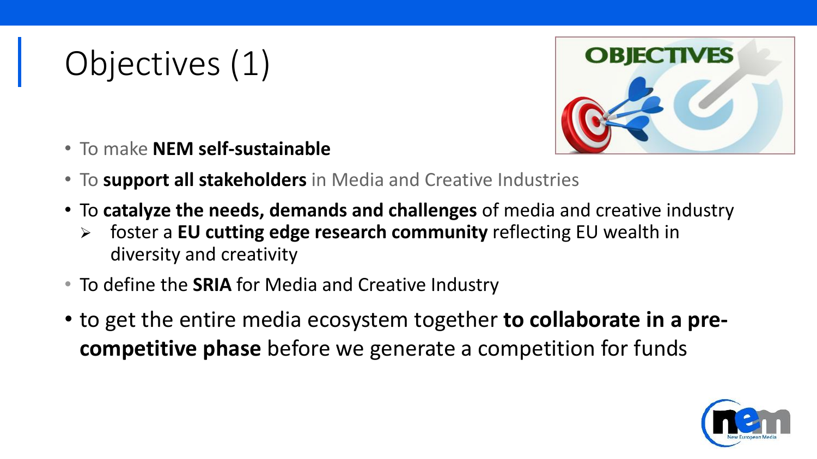## Objectives (1)



- To make **NEM self-sustainable**
- To **support all stakeholders** in Media and Creative Industries
- To **catalyze the needs, demands and challenges** of media and creative industry
	- foster a **EU cutting edge research community** reflecting EU wealth in diversity and creativity
- To define the **SRIA** for Media and Creative Industry
- to get the entire media ecosystem together **to collaborate in a precompetitive phase** before we generate a competition for funds

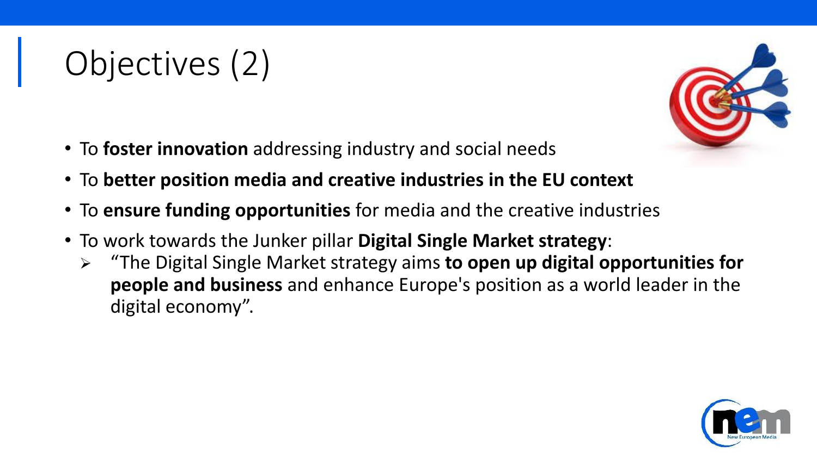# Objectives (2)

- To **foster innovation** addressing industry and social needs
- To **better position media and creative industries in the EU context**
- To **ensure funding opportunities** for media and the creative industries
- To work towards the Junker pillar **Digital Single Market strategy**:
	- "The Digital Single Market strategy aims **to open up digital opportunities for people and business** and enhance Europe's position as a world leader in the digital economy".

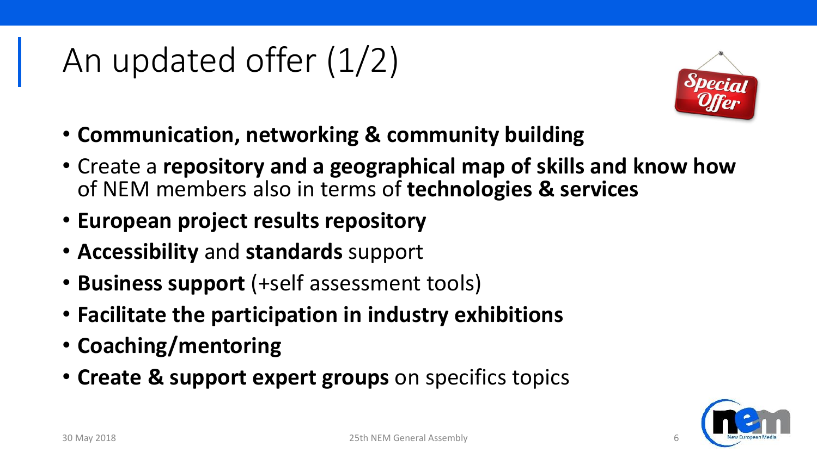### An updated offer (1/2)



- **Communication, networking & community building**
- Create a **repository and a geographical map of skills and know how**  of NEM members also in terms of **technologies & services**
- **European project results repository**
- **Accessibility** and **standards** support
- **Business support** (+self assessment tools)
- **Facilitate the participation in industry exhibitions**
- **Coaching/mentoring**
- **Create & support expert groups** on specifics topics

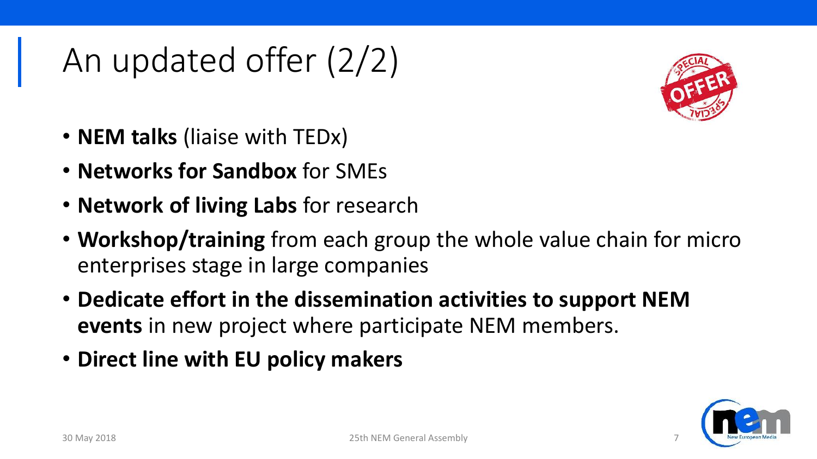## An updated offer (2/2)



- **NEM talks** (liaise with TEDx)
- **Networks for Sandbox** for SMEs
- **Network of living Labs** for research
- **Workshop/training** from each group the whole value chain for micro enterprises stage in large companies
- **Dedicate effort in the dissemination activities to support NEM events** in new project where participate NEM members.
- **Direct line with EU policy makers**

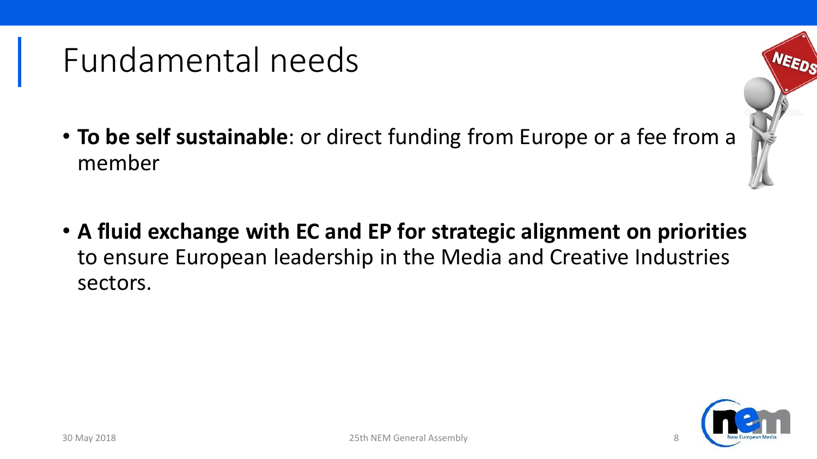#### Fundamental needs

- **To be self sustainable**: or direct funding from Europe or a fee from a member
- **A fluid exchange with EC and EP for strategic alignment on priorities**  to ensure European leadership in the Media and Creative Industries sectors.

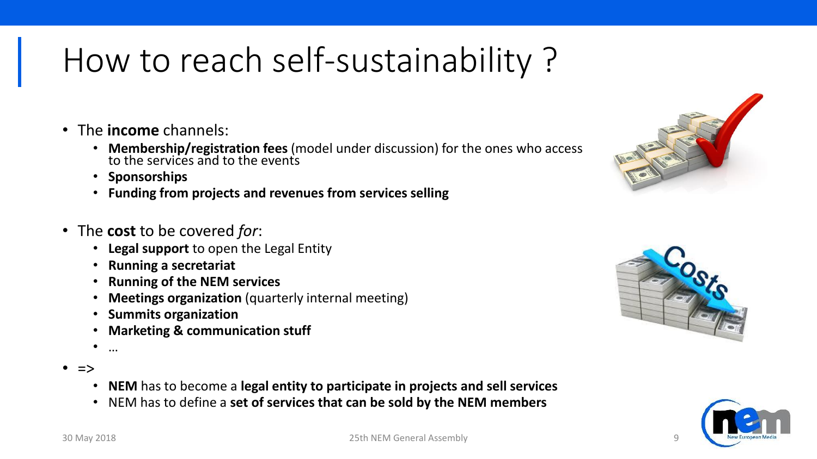#### How to reach self-sustainability ?

- The **income** channels:
	- **Membership/registration fees** (model under discussion) for the ones who access to the services and to the events
	- **Sponsorships**
	- **Funding from projects and revenues from services selling**
- The **cost** to be covered *for*:
	- **Legal support** to open the Legal Entity
	- **Running a secretariat**
	- **Running of the NEM services**
	- **Meetings organization** (quarterly internal meeting)
	- **Summits organization**
	- **Marketing & communication stuff**
	- …
- =>
	- **NEM** has to become a **legal entity to participate in projects and sell services**
	- NEM has to define a **set of services that can be sold by the NEM members**